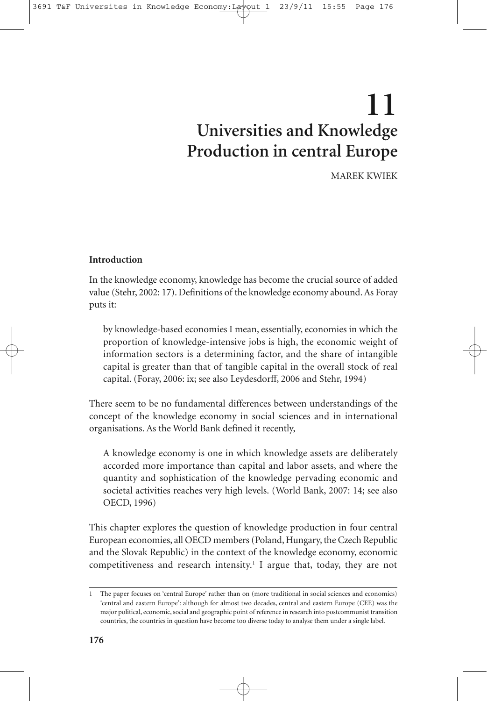MAREK KWIEK

## **Introduction**

In the knowledge economy, knowledge has become the crucial source of added value (Stehr, 2002: 17). Definitions of the knowledge economy abound.As Foray puts it:

by knowledge-based economies I mean, essentially, economies in which the proportion of knowledge-intensive jobs is high, the economic weight of information sectors is a determining factor, and the share of intangible capital is greater than that of tangible capital in the overall stock of real capital. (Foray, 2006: ix; see also Leydesdorff, 2006 and Stehr, 1994)

There seem to be no fundamental differences between understandings of the concept of the knowledge economy in social sciences and in international organisations. As the World Bank defined it recently,

A knowledge economy is one in which knowledge assets are deliberately accorded more importance than capital and labor assets, and where the quantity and sophistication of the knowledge pervading economic and societal activities reaches very high levels. (World Bank, 2007: 14; see also OECD, 1996)

This chapter explores the question of knowledge production in four central European economies, all OECD members (Poland, Hungary, the Czech Republic and the Slovak Republic) in the context of the knowledge economy, economic competitiveness and research intensity. <sup>1</sup> I argue that, today, they are not

<sup>1</sup> The paper focuses on 'central Europe' rather than on (more traditional in social sciences and economics) 'central and eastern Europe': although for almost two decades, central and eastern Europe (CEE) was the major political, economic,social and geographic point of reference in research into postcommunist transition countries, the countries in question have become too diverse today to analyse them under a single label.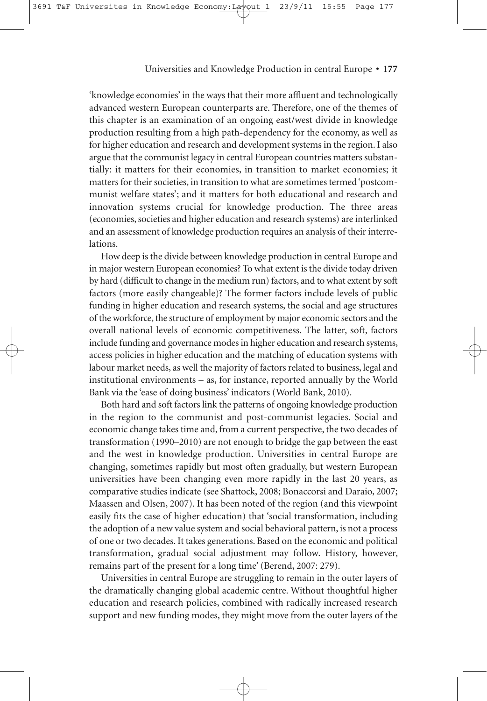'knowledge economies' in the ways that their more affluent and technologically advanced western European counterparts are. Therefore, one of the themes of this chapter is an examination of an ongoing east/west divide in knowledge production resulting from a high path-dependency for the economy, as well as for higher education and research and development systems in the region. I also argue that the communist legacy in central European countries matters substantially: it matters for their economies, in transition to market economies; it matters for their societies, in transition to what are sometimes termed'postcommunist welfare states'; and it matters for both educational and research and innovation systems crucial for knowledge production. The three areas (economies,societies and higher education and research systems) are interlinked and an assessment of knowledge production requires an analysis of their interrelations.

How deep is the divide between knowledge production in central Europe and in major western European economies? To what extent is the divide today driven by hard (difficult to change in the medium run) factors, and to what extent by soft factors (more easily changeable)? The former factors include levels of public funding in higher education and research systems, the social and age structures of the workforce, the structure of employment by major economic sectors and the overall national levels of economic competitiveness. The latter, soft, factors include funding and governance modes in higher education and research systems, access policies in higher education and the matching of education systems with labour market needs, as well the majority of factors related to business, legal and institutional environments – as, for instance, reported annually by the World Bank via the 'ease of doing business' indicators (World Bank, 2010).

Both hard and soft factors link the patterns of ongoing knowledge production in the region to the communist and post-communist legacies. Social and economic change takes time and, from a current perspective, the two decades of transformation (1990–2010) are not enough to bridge the gap between the east and the west in knowledge production. Universities in central Europe are changing, sometimes rapidly but most often gradually, but western European universities have been changing even more rapidly in the last 20 years, as comparative studies indicate (see Shattock, 2008; Bonaccorsi and Daraio, 2007; Maassen and Olsen, 2007). It has been noted of the region (and this viewpoint easily fits the case of higher education) that 'social transformation, including the adoption of a new value system and social behavioral pattern, is not a process of one or two decades.It takes generations. Based on the economic and political transformation, gradual social adjustment may follow. History, however, remains part of the present for a long time'(Berend, 2007: 279).

Universities in central Europe are struggling to remain in the outer layers of the dramatically changing global academic centre. Without thoughtful higher education and research policies, combined with radically increased research support and new funding modes, they might move from the outer layers of the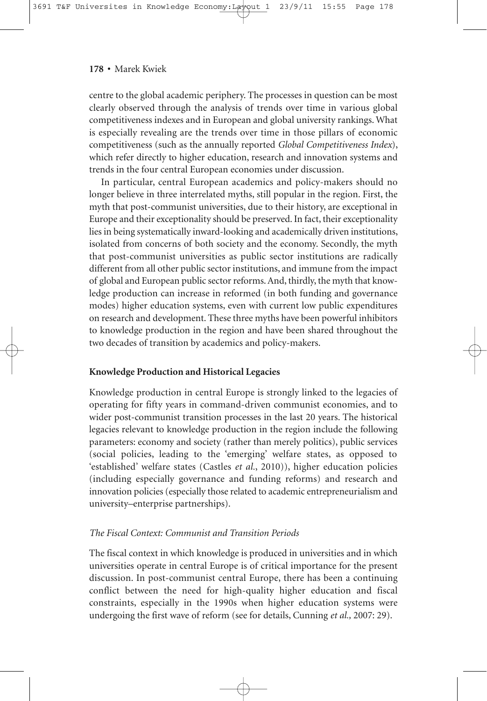centre to the global academic periphery. The processes in question can be most clearly observed through the analysis of trends over time in various global competitiveness indexes and in European and global university rankings. What is especially revealing are the trends over time in those pillars of economic competitiveness (such as the annually reported *Global Competitiveness Index*), which refer directly to higher education, research and innovation systems and trends in the four central European economies under discussion.

In particular, central European academics and policy-makers should no longer believe in three interrelated myths, still popular in the region. First, the myth that post-communist universities, due to their history, are exceptional in Europe and their exceptionality should be preserved.In fact, their exceptionality lies in being systematically inward-looking and academically driven institutions, isolated from concerns of both society and the economy. Secondly, the myth that post-communist universities as public sector institutions are radically different from all other public sector institutions, and immune from the impact of global and European public sector reforms.And, thirdly, the myth that knowledge production can increase in reformed (in both funding and governance modes) higher education systems, even with current low public expenditures on research and development. These three myths have been powerful inhibitors to knowledge production in the region and have been shared throughout the two decades of transition by academics and policy-makers.

# **Knowledge Production and Historical Legacies**

Knowledge production in central Europe is strongly linked to the legacies of operating for fifty years in command-driven communist economies, and to wider post-communist transition processes in the last 20 years. The historical legacies relevant to knowledge production in the region include the following parameters: economy and society (rather than merely politics), public services (social policies, leading to the 'emerging' welfare states, as opposed to 'established' welfare states (Castles *et al.*, 2010)), higher education policies (including especially governance and funding reforms) and research and innovation policies (especially those related to academic entrepreneurialism and university–enterprise partnerships).

## *The Fiscal Context: Communist and Transition Periods*

The fiscal context in which knowledge is produced in universities and in which universities operate in central Europe is of critical importance for the present discussion. In post-communist central Europe, there has been a continuing conflict between the need for high-quality higher education and fiscal constraints, especially in the 1990s when higher education systems were undergoing the first wave of reform (see for details, Cunning *et al.,* 2007: 29).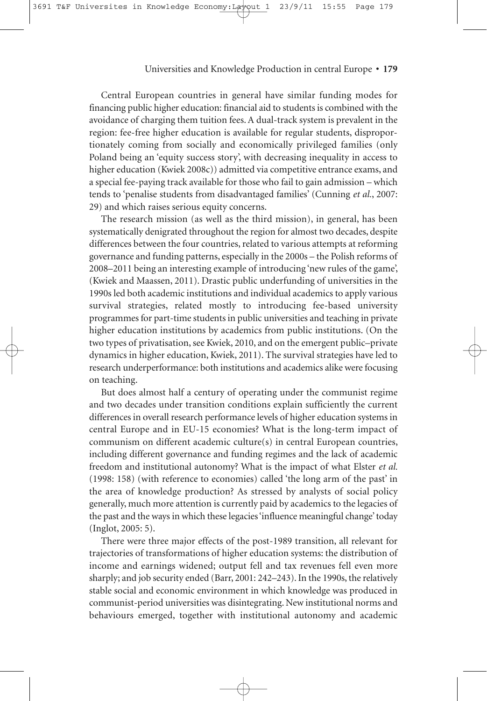Central European countries in general have similar funding modes for financing public higher education: financial aid to students is combined with the avoidance of charging them tuition fees.A dual-track system is prevalent in the region: fee-free higher education is available for regular students, disproportionately coming from socially and economically privileged families (only Poland being an 'equity success story', with decreasing inequality in access to higher education (Kwiek 2008c)) admitted via competitive entrance exams, and a special fee-paying track available for those who fail to gain admission – which tends to 'penalise students from disadvantaged families' (Cunning *et al.*, 2007: 29) and which raises serious equity concerns.

The research mission (as well as the third mission), in general, has been systematically denigrated throughout the region for almost two decades, despite differences between the four countries, related to various attempts at reforming governance and funding patterns, especially in the 2000s – the Polish reforms of 2008–2011 being an interesting example of introducing 'new rules of the game', (Kwiek and Maassen, 2011). Drastic public underfunding of universities in the 1990s led both academic institutions and individual academics to apply various survival strategies, related mostly to introducing fee-based university programmes for part-time students in public universities and teaching in private higher education institutions by academics from public institutions. (On the two types of privatisation, see Kwiek, 2010, and on the emergent public–private dynamics in higher education, Kwiek, 2011). The survival strategies have led to research underperformance: both institutions and academics alike were focusing on teaching.

But does almost half a century of operating under the communist regime and two decades under transition conditions explain sufficiently the current differences in overall research performance levels of higher education systems in central Europe and in EU-15 economies? What is the long-term impact of communism on different academic culture(s) in central European countries, including different governance and funding regimes and the lack of academic freedom and institutional autonomy? What is the impact of what Elster *et al.* (1998: 158) (with reference to economies) called 'the long arm of the past' in the area of knowledge production? As stressed by analysts of social policy generally, much more attention is currently paid by academics to the legacies of the past and the ways in which these legacies'influence meaningful change'today (Inglot, 2005: 5).

There were three major effects of the post-1989 transition, all relevant for trajectories of transformations of higher education systems: the distribution of income and earnings widened; output fell and tax revenues fell even more sharply; and job security ended (Barr, 2001: 242–243). In the 1990s, the relatively stable social and economic environment in which knowledge was produced in communist-period universities was disintegrating. New institutional norms and behaviours emerged, together with institutional autonomy and academic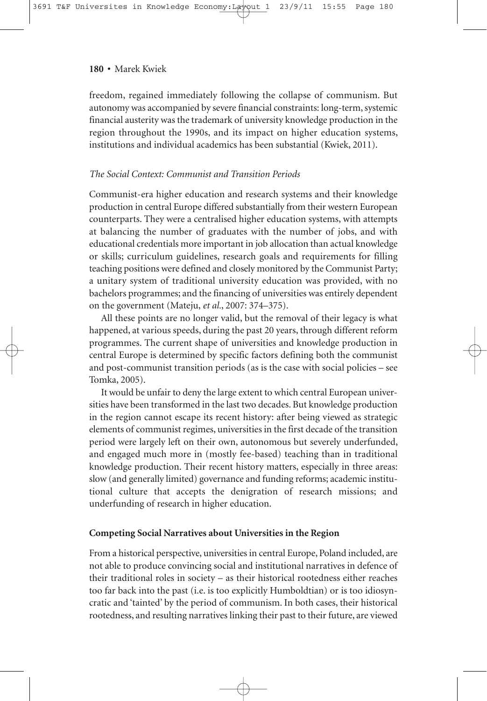freedom, regained immediately following the collapse of communism. But autonomy was accompanied by severe financial constraints: long-term, systemic financial austerity was the trademark of university knowledge production in the region throughout the 1990s, and its impact on higher education systems, institutions and individual academics has been substantial (Kwiek, 2011).

## *The Social Context: Communist and Transition Periods*

Communist-era higher education and research systems and their knowledge production in central Europe differed substantially from their western European counterparts. They were a centralised higher education systems, with attempts at balancing the number of graduates with the number of jobs, and with educational credentials more important in job allocation than actual knowledge or skills; curriculum guidelines, research goals and requirements for filling teaching positions were defined and closely monitored by the Communist Party; a unitary system of traditional university education was provided, with no bachelors programmes; and the financing of universities was entirely dependent on the government (Mateju, *et al.*, 2007: 374–375).

All these points are no longer valid, but the removal of their legacy is what happened, at various speeds, during the past 20 years, through different reform programmes. The current shape of universities and knowledge production in central Europe is determined by specific factors defining both the communist and post-communist transition periods (as is the case with social policies – see Tomka, 2005).

It would be unfair to deny the large extent to which central European universities have been transformed in the last two decades. But knowledge production in the region cannot escape its recent history: after being viewed as strategic elements of communist regimes, universities in the first decade of the transition period were largely left on their own, autonomous but severely underfunded, and engaged much more in (mostly fee-based) teaching than in traditional knowledge production. Their recent history matters, especially in three areas: slow (and generally limited) governance and funding reforms; academic institutional culture that accepts the denigration of research missions; and underfunding of research in higher education.

## **Competing Social Narratives about Universities in the Region**

From a historical perspective, universities in central Europe, Poland included, are not able to produce convincing social and institutional narratives in defence of their traditional roles in society – as their historical rootedness either reaches too far back into the past (i.e. is too explicitly Humboldtian) or is too idiosyncratic and 'tainted' by the period of communism. In both cases, their historical rootedness, and resulting narratives linking their past to their future, are viewed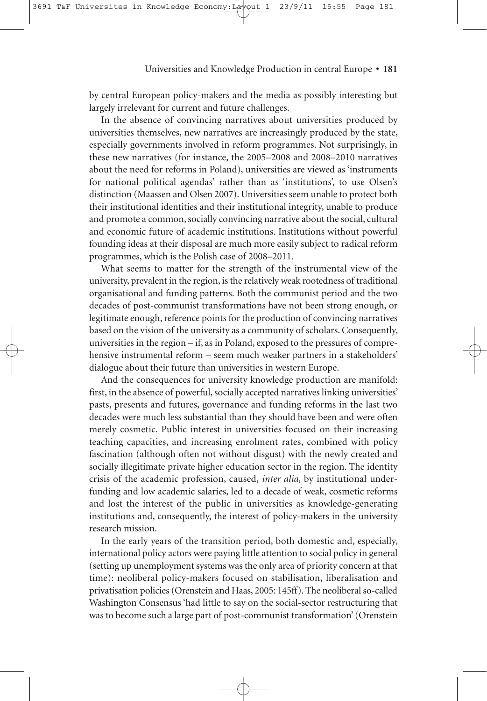by central European policy-makers and the media as possibly interesting but largely irrelevant for current and future challenges.

In the absence of convincing narratives about universities produced by universities themselves, new narratives are increasingly produced by the state, especially governments involved in reform programmes. Not surprisingly, in these new narratives (for instance, the 2005–2008 and 2008–2010 narratives about the need for reforms in Poland), universities are viewed as 'instruments for national political agendas' rather than as 'institutions', to use Olsen's distinction (Maassen and Olsen 2007). Universities seem unable to protect both their institutional identities and their institutional integrity, unable to produce and promote a common, socially convincing narrative about the social, cultural and economic future of academic institutions. Institutions without powerful founding ideas at their disposal are much more easily subject to radical reform programmes, which is the Polish case of 2008–2011.

What seems to matter for the strength of the instrumental view of the university, prevalent in the region, is the relatively weak rootedness of traditional organisational and funding patterns. Both the communist period and the two decades of post-communist transformations have not been strong enough, or legitimate enough, reference points for the production of convincing narratives based on the vision of the university as a community of scholars.Consequently, universities in the region – if, as in Poland, exposed to the pressures of comprehensive instrumental reform – seem much weaker partners in a stakeholders' dialogue about their future than universities in western Europe.

And the consequences for university knowledge production are manifold: first, in the absence of powerful, socially accepted narratives linking universities' pasts, presents and futures, governance and funding reforms in the last two decades were much less substantial than they should have been and were often merely cosmetic. Public interest in universities focused on their increasing teaching capacities, and increasing enrolment rates, combined with policy fascination (although often not without disgust) with the newly created and socially illegitimate private higher education sector in the region. The identity crisis of the academic profession, caused, *inter alia*, by institutional underfunding and low academic salaries, led to a decade of weak, cosmetic reforms and lost the interest of the public in universities as knowledge-generating institutions and, consequently, the interest of policy-makers in the university research mission.

In the early years of the transition period, both domestic and, especially, international policy actors were paying little attention to social policy in general (setting up unemployment systems was the only area of priority concern at that time): neoliberal policy-makers focused on stabilisation, liberalisation and privatisation policies(Orenstein and Haas, 2005: 145ff). The neoliberal so-called Washington Consensus 'had little to say on the social-sector restructuring that was to become such a large part of post-communist transformation'(Orenstein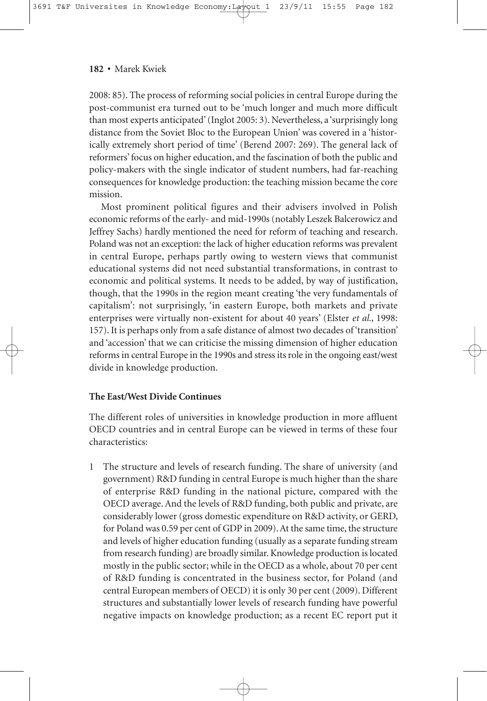2008: 85). The process of reforming social policies in central Europe during the post-communist era turned out to be 'much longer and much more difficult than most experts anticipated'(Inglot 2005: 3). Nevertheless, a 'surprisingly long distance from the Soviet Bloc to the European Union' was covered in a 'historically extremely short period of time' (Berend 2007: 269). The general lack of reformers'focus on higher education, and the fascination of both the public and policy-makers with the single indicator of student numbers, had far-reaching consequences for knowledge production: the teaching mission became the core mission.

Most prominent political figures and their advisers involved in Polish economic reforms of the early- and mid-1990s (notably Leszek Balcerowicz and Jeffrey Sachs) hardly mentioned the need for reform of teaching and research. Poland was not an exception: the lack of higher education reforms was prevalent in central Europe, perhaps partly owing to western views that communist educational systems did not need substantial transformations, in contrast to economic and political systems. It needs to be added, by way of justification, though, that the 1990s in the region meant creating 'the very fundamentals of capitalism': not surprisingly, 'in eastern Europe, both markets and private enterprises were virtually non-existent for about 40 years' (Elster *et al.*, 1998: 157).It is perhaps only from a safe distance of almost two decades of 'transition' and 'accession' that we can criticise the missing dimension of higher education reforms in central Europe in the 1990s and stress its role in the ongoing east/west divide in knowledge production.

## **The East/West Divide Continues**

The different roles of universities in knowledge production in more affluent OECD countries and in central Europe can be viewed in terms of these four characteristics:

1 The structure and levels of research funding. The share of university (and government) R&D funding in central Europe is much higher than the share of enterprise R&D funding in the national picture, compared with the OECD average.And the levels of R&D funding, both public and private, are considerably lower (gross domestic expenditure on R&D activity, or GERD, for Poland was 0.59 per cent of GDP in 2009).At the same time, the structure and levels of higher education funding (usually as a separate funding stream from research funding) are broadly similar.Knowledge production is located mostly in the public sector; while in the OECD as a whole, about 70 per cent of R&D funding is concentrated in the business sector, for Poland (and central European members of OECD) it is only 30 per cent (2009). Different structures and substantially lower levels of research funding have powerful negative impacts on knowledge production; as a recent EC report put it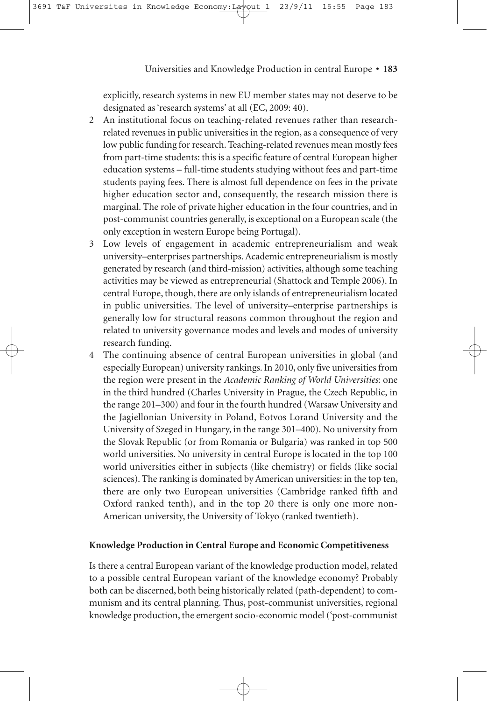explicitly, research systems in new EU member states may not deserve to be designated as'research systems' at all (EC, 2009: 40).

- 2 An institutional focus on teaching-related revenues rather than researchrelated revenues in public universities in the region, as a consequence of very low public funding for research. Teaching-related revenues mean mostly fees from part-time students: this is a specific feature of central European higher education systems – full-time students studying without fees and part-time students paying fees. There is almost full dependence on fees in the private higher education sector and, consequently, the research mission there is marginal. The role of private higher education in the four countries, and in post-communist countries generally, is exceptional on a European scale (the only exception in western Europe being Portugal).
- 3 Low levels of engagement in academic entrepreneurialism and weak university–enterprises partnerships.Academic entrepreneurialism is mostly generated by research (and third-mission) activities, although some teaching activities may be viewed as entrepreneurial (Shattock and Temple 2006). In central Europe, though, there are only islands of entrepreneurialism located in public universities. The level of university–enterprise partnerships is generally low for structural reasons common throughout the region and related to university governance modes and levels and modes of university research funding.
- 4 The continuing absence of central European universities in global (and especially European) university rankings.In 2010, only five universities from the region were present in the *Academic Ranking of World Universities*: one in the third hundred (Charles University in Prague, the Czech Republic, in the range 201–300) and four in the fourth hundred (Warsaw University and the Jagiellonian University in Poland, Eotvos Lorand University and the University of Szeged in Hungary, in the range 301–400). No university from the Slovak Republic (or from Romania or Bulgaria) was ranked in top 500 world universities. No university in central Europe is located in the top 100 world universities either in subjects (like chemistry) or fields (like social sciences). The ranking is dominated by American universities: in the top ten, there are only two European universities (Cambridge ranked fifth and Oxford ranked tenth), and in the top 20 there is only one more non-American university, the University of Tokyo (ranked twentieth).

## **Knowledge Production in Central Europe and Economic Competitiveness**

Is there a central European variant of the knowledge production model, related to a possible central European variant of the knowledge economy? Probably both can be discerned, both being historically related (path-dependent) to communism and its central planning. Thus, post-communist universities, regional knowledge production, the emergent socio-economic model ('post-communist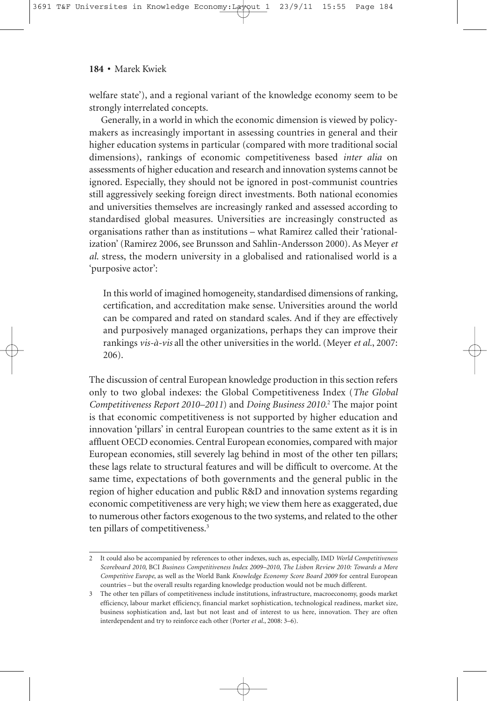welfare state'), and a regional variant of the knowledge economy seem to be strongly interrelated concepts.

Generally, in a world in which the economic dimension is viewed by policymakers as increasingly important in assessing countries in general and their higher education systems in particular (compared with more traditional social dimensions), rankings of economic competitiveness based *inter alia* on assessments of higher education and research and innovation systems cannot be ignored. Especially, they should not be ignored in post-communist countries still aggressively seeking foreign direct investments. Both national economies and universities themselves are increasingly ranked and assessed according to standardised global measures. Universities are increasingly constructed as organisations rather than as institutions – what Ramirez called their 'rationalization' (Ramirez 2006, see Brunsson and Sahlin-Andersson 2000). As Meyer *et al*. stress, the modern university in a globalised and rationalised world is a 'purposive actor':

In this world of imagined homogeneity, standardised dimensions of ranking, certification, and accreditation make sense. Universities around the world can be compared and rated on standard scales. And if they are effectively and purposively managed organizations, perhaps they can improve their rankings *vis-à-vis* all the other universities in the world. (Meyer *et al.*, 2007: 206).

The discussion of central European knowledge production in this section refers only to two global indexes: the Global Competitiveness Index (*The Global Competitiveness Report 2010–2011*) and *Doing Business 2010.* <sup>2</sup> The major point is that economic competitiveness is not supported by higher education and innovation 'pillars' in central European countries to the same extent as it is in affluent OECD economies.Central European economies, compared with major European economies, still severely lag behind in most of the other ten pillars; these lags relate to structural features and will be difficult to overcome. At the same time, expectations of both governments and the general public in the region of higher education and public R&D and innovation systems regarding economic competitiveness are very high; we view them here as exaggerated, due to numerous other factors exogenous to the two systems, and related to the other ten pillars of competitiveness. 3

<sup>2</sup> It could also be accompanied by references to other indexes, such as, especially, IMD *World Competitiveness Scoreboard 2010*, BCI *Business Competitiveness Index 2009–2010*, *The Lisbon Review 2010: Towards a More Competitive Europe*, as well as the World Bank *Knowledge Economy Score Board 2009* for central European countries – but the overall results regarding knowledge production would not be much different.

<sup>3</sup> The other ten pillars of competitiveness include institutions, infrastructure, macroeconomy, goods market efficiency, labour market efficiency, financial market sophistication, technological readiness, market size, business sophistication and, last but not least and of interest to us here, innovation. They are often interdependent and try to reinforce each other (Porter *et al.*, 2008: 3–6).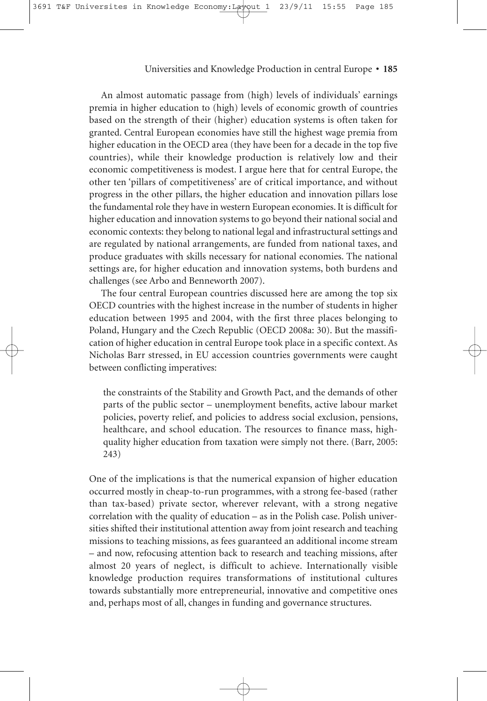An almost automatic passage from (high) levels of individuals' earnings premia in higher education to (high) levels of economic growth of countries based on the strength of their (higher) education systems is often taken for granted. Central European economies have still the highest wage premia from higher education in the OECD area (they have been for a decade in the top five countries), while their knowledge production is relatively low and their economic competitiveness is modest. I argue here that for central Europe, the other ten 'pillars of competitiveness' are of critical importance, and without progress in the other pillars, the higher education and innovation pillars lose the fundamental role they have in western European economies.It is difficult for higher education and innovation systems to go beyond their national social and economic contexts: they belong to national legal and infrastructural settings and are regulated by national arrangements, are funded from national taxes, and produce graduates with skills necessary for national economies. The national settings are, for higher education and innovation systems, both burdens and challenges (see Arbo and Benneworth 2007).

The four central European countries discussed here are among the top six OECD countries with the highest increase in the number of students in higher education between 1995 and 2004, with the first three places belonging to Poland, Hungary and the Czech Republic (OECD 2008a: 30). But the massification of higher education in central Europe took place in a specific context.As Nicholas Barr stressed, in EU accession countries governments were caught between conflicting imperatives:

the constraints of the Stability and Growth Pact, and the demands of other parts of the public sector – unemployment benefits, active labour market policies, poverty relief, and policies to address social exclusion, pensions, healthcare, and school education. The resources to finance mass, highquality higher education from taxation were simply not there. (Barr, 2005: 243)

One of the implications is that the numerical expansion of higher education occurred mostly in cheap-to-run programmes, with a strong fee-based (rather than tax-based) private sector, wherever relevant, with a strong negative correlation with the quality of education – as in the Polish case. Polish universities shifted their institutional attention away from joint research and teaching missions to teaching missions, as fees guaranteed an additional income stream – and now, refocusing attention back to research and teaching missions, after almost 20 years of neglect, is difficult to achieve. Internationally visible knowledge production requires transformations of institutional cultures towards substantially more entrepreneurial, innovative and competitive ones and, perhaps most of all, changes in funding and governance structures.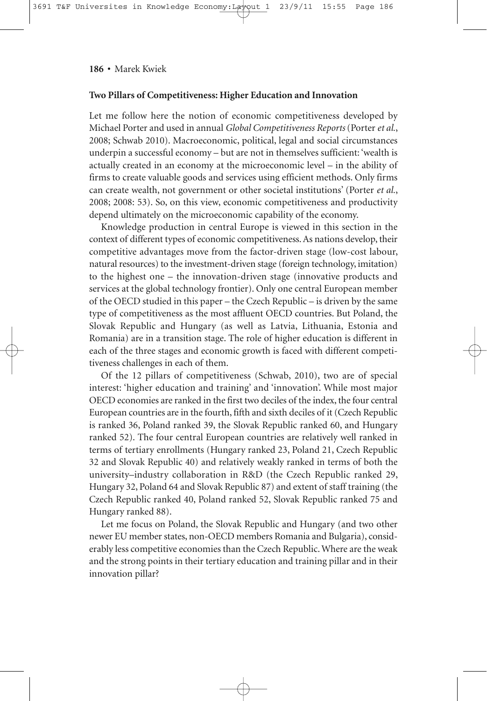#### **Two Pillars of Competitiveness: Higher Education and Innovation**

Let me follow here the notion of economic competitiveness developed by Michael Porter and used in annual *Global Competitiveness Reports* (Porter *et al.*, 2008; Schwab 2010). Macroeconomic, political, legal and social circumstances underpin a successful economy – but are not in themselves sufficient: 'wealth is actually created in an economy at the microeconomic level – in the ability of firms to create valuable goods and services using efficient methods. Only firms can create wealth, not government or other societal institutions' (Porter *et al.*, 2008; 2008: 53). So, on this view, economic competitiveness and productivity depend ultimately on the microeconomic capability of the economy.

Knowledge production in central Europe is viewed in this section in the context of different types of economic competitiveness.As nations develop, their competitive advantages move from the factor-driven stage (low-cost labour, natural resources) to the investment-driven stage (foreign technology, imitation) to the highest one – the innovation-driven stage (innovative products and services at the global technology frontier). Only one central European member of the OECD studied in this paper – the Czech Republic – is driven by the same type of competitiveness as the most affluent OECD countries. But Poland, the Slovak Republic and Hungary (as well as Latvia, Lithuania, Estonia and Romania) are in a transition stage. The role of higher education is different in each of the three stages and economic growth is faced with different competitiveness challenges in each of them.

Of the 12 pillars of competitiveness (Schwab, 2010), two are of special interest: 'higher education and training' and 'innovation'. While most major OECD economies are ranked in the first two deciles of the index, the four central European countries are in the fourth, fifth and sixth deciles of it (Czech Republic is ranked 36, Poland ranked 39, the Slovak Republic ranked 60, and Hungary ranked 52). The four central European countries are relatively well ranked in terms of tertiary enrollments (Hungary ranked 23, Poland 21, Czech Republic 32 and Slovak Republic 40) and relatively weakly ranked in terms of both the university–industry collaboration in R&D (the Czech Republic ranked 29, Hungary 32, Poland 64 and Slovak Republic 87) and extent of staff training (the Czech Republic ranked 40, Poland ranked 52, Slovak Republic ranked 75 and Hungary ranked 88).

Let me focus on Poland, the Slovak Republic and Hungary (and two other newer EU member states, non-OECD members Romania and Bulgaria), considerably less competitive economies than the Czech Republic.Where are the weak and the strong points in their tertiary education and training pillar and in their innovation pillar?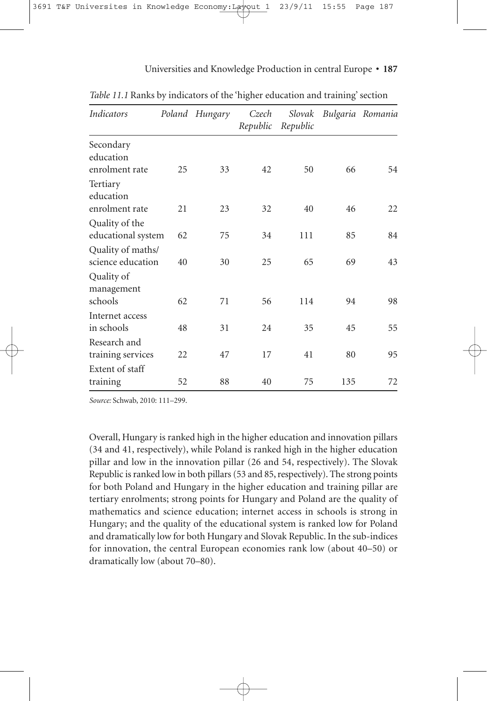| <b>Indicators</b>                        | Poland | Hungary | Czech<br>Republic | Slovak<br>Republic |     | Bulgaria Romania |
|------------------------------------------|--------|---------|-------------------|--------------------|-----|------------------|
| Secondary<br>education<br>enrolment rate | 25     | 33      | 42                | 50                 | 66  | 54               |
| Tertiary<br>education                    |        |         |                   |                    |     |                  |
| enrolment rate                           | 21     | 23      | 32                | 40                 | 46  | 22               |
| Quality of the                           |        |         |                   |                    |     |                  |
| educational system                       | 62     | 75      | 34                | 111                | 85  | 84               |
| Quality of maths/<br>science education   | 40     | 30      | 25                | 65                 | 69  | 43               |
| Quality of<br>management                 |        |         |                   |                    |     |                  |
| schools                                  | 62     | 71      | 56                | 114                | 94  | 98               |
| Internet access                          |        |         |                   |                    |     |                  |
| in schools                               | 48     | 31      | 24                | 35                 | 45  | 55               |
| Research and                             |        |         |                   |                    |     |                  |
| training services                        | 22     | 47      | 17                | 41                 | 80  | 95               |
| Extent of staff                          |        |         |                   |                    |     |                  |
| training                                 | 52     | 88      | 40                | 75                 | 135 | 72               |

*Table 11.1* Ranks by indicators of the 'higher education and training' section

*Source:* Schwab, 2010: 111–299.

Overall, Hungary is ranked high in the higher education and innovation pillars (34 and 41, respectively), while Poland is ranked high in the higher education pillar and low in the innovation pillar (26 and 54, respectively). The Slovak Republic is ranked low in both pillars (53 and 85, respectively). The strong points for both Poland and Hungary in the higher education and training pillar are tertiary enrolments; strong points for Hungary and Poland are the quality of mathematics and science education; internet access in schools is strong in Hungary; and the quality of the educational system is ranked low for Poland and dramatically low for both Hungary and Slovak Republic.In the sub-indices for innovation, the central European economies rank low (about 40–50) or dramatically low (about 70–80).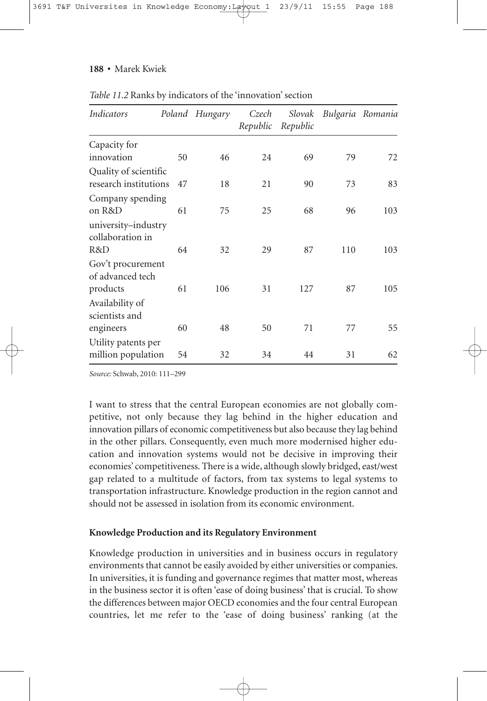| Indicators                                        | Poland | Hungary | Czech<br>Republic | Slovak<br>Republic |     | Bulgaria Romania |
|---------------------------------------------------|--------|---------|-------------------|--------------------|-----|------------------|
| Capacity for<br>innovation                        | 50     | 46      | 24                | 69                 | 79  | 72               |
| Quality of scientific<br>research institutions    | 47     | 18      | 21                | 90                 | 73  | 83               |
| Company spending<br>on R&D                        | 61     | 75      | 25                | 68                 | 96  | 103              |
| university-industry<br>collaboration in<br>R&D    | 64     | 32      | 29                | 87                 | 110 | 103              |
| Gov't procurement<br>of advanced tech<br>products | 61     | 106     | 31                | 127                | 87  | 105              |
| Availability of<br>scientists and                 |        |         |                   |                    |     |                  |
| engineers                                         | 60     | 48      | 50                | 71                 | 77  | 55               |
| Utility patents per<br>million population         | 54     | 32      | 34                | 44                 | 31  | 62               |

*Table 11.2* Ranks by indicators of the 'innovation' section

*Source:* Schwab, 2010: 111–299

I want to stress that the central European economies are not globally competitive, not only because they lag behind in the higher education and innovation pillars of economic competitiveness but also because they lag behind in the other pillars. Consequently, even much more modernised higher education and innovation systems would not be decisive in improving their economies' competitiveness. There is a wide, although slowly bridged, east/west gap related to a multitude of factors, from tax systems to legal systems to transportation infrastructure. Knowledge production in the region cannot and should not be assessed in isolation from its economic environment.

# **Knowledge Production and its Regulatory Environment**

Knowledge production in universities and in business occurs in regulatory environments that cannot be easily avoided by either universities or companies. In universities, it is funding and governance regimes that matter most, whereas in the business sector it is often 'ease of doing business' that is crucial. To show the differences between major OECD economies and the four central European countries, let me refer to the 'ease of doing business' ranking (at the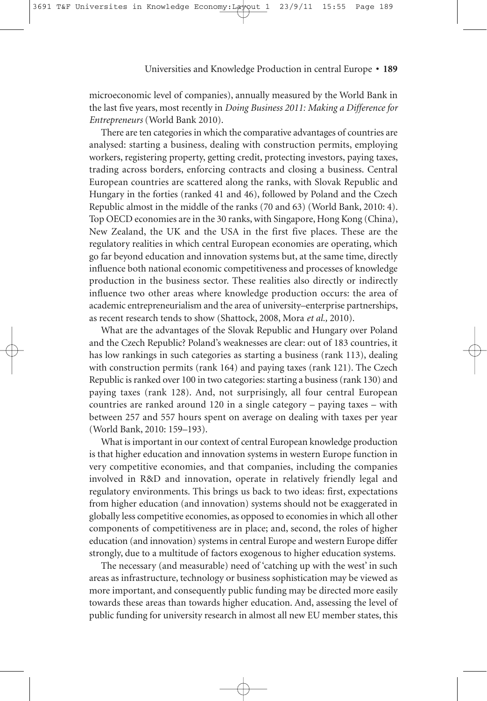microeconomic level of companies), annually measured by the World Bank in the last five years, most recently in *Doing Business 2011: Making a Difference for Entrepreneurs* (World Bank 2010).

There are ten categories in which the comparative advantages of countries are analysed: starting a business, dealing with construction permits, employing workers, registering property, getting credit, protecting investors, paying taxes, trading across borders, enforcing contracts and closing a business. Central European countries are scattered along the ranks, with Slovak Republic and Hungary in the forties (ranked 41 and 46), followed by Poland and the Czech Republic almost in the middle of the ranks (70 and 63) (World Bank, 2010: 4). Top OECD economies are in the 30 ranks,with Singapore, Hong Kong (China), New Zealand, the UK and the USA in the first five places. These are the regulatory realities in which central European economies are operating, which go far beyond education and innovation systems but, at the same time, directly influence both national economic competitiveness and processes of knowledge production in the business sector. These realities also directly or indirectly influence two other areas where knowledge production occurs: the area of academic entrepreneurialism and the area of university–enterprise partnerships, as recent research tends to show (Shattock, 2008, Mora *et al.,* 2010).

What are the advantages of the Slovak Republic and Hungary over Poland and the Czech Republic? Poland's weaknesses are clear: out of 183 countries, it has low rankings in such categories as starting a business (rank 113), dealing with construction permits (rank 164) and paying taxes (rank 121). The Czech Republic is ranked over 100 in two categories: starting a business (rank 130) and paying taxes (rank 128). And, not surprisingly, all four central European countries are ranked around 120 in a single category – paying taxes – with between 257 and 557 hours spent on average on dealing with taxes per year (World Bank, 2010: 159–193).

What is important in our context of central European knowledge production is that higher education and innovation systems in western Europe function in very competitive economies, and that companies, including the companies involved in R&D and innovation, operate in relatively friendly legal and regulatory environments. This brings us back to two ideas: first, expectations from higher education (and innovation) systems should not be exaggerated in globally less competitive economies, as opposed to economies in which all other components of competitiveness are in place; and, second, the roles of higher education (and innovation) systems in central Europe and western Europe differ strongly, due to a multitude of factors exogenous to higher education systems.

The necessary (and measurable) need of 'catching up with the west' in such areas as infrastructure, technology or business sophistication may be viewed as more important, and consequently public funding may be directed more easily towards these areas than towards higher education. And, assessing the level of public funding for university research in almost all new EU member states, this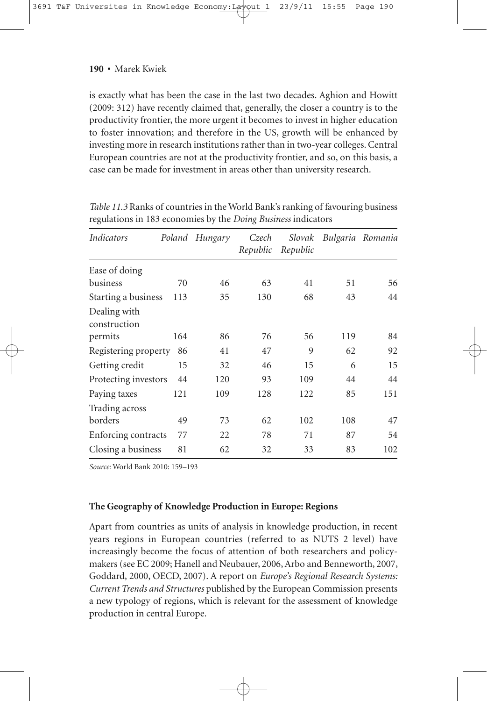is exactly what has been the case in the last two decades. Aghion and Howitt (2009: 312) have recently claimed that, generally, the closer a country is to the productivity frontier, the more urgent it becomes to invest in higher education to foster innovation; and therefore in the US, growth will be enhanced by investing more in research institutions rather than in two-year colleges. Central European countries are not at the productivity frontier, and so, on this basis, a case can be made for investment in areas other than university research.

| Indicators                   | Poland | Hungary | Czech<br>Republic | Slovak<br>Republic |     | Bulgaria Romania |
|------------------------------|--------|---------|-------------------|--------------------|-----|------------------|
| Ease of doing                |        |         |                   |                    |     |                  |
| business                     | 70     | 46      | 63                | 41                 | 51  | 56               |
| Starting a business          | 113    | 35      | 130               | 68                 | 43  | 44               |
| Dealing with<br>construction |        |         |                   |                    |     |                  |
| permits                      | 164    | 86      | 76                | 56                 | 119 | 84               |
| Registering property         | 86     | 41      | 47                | 9                  | 62  | 92               |
| Getting credit               | 15     | 32      | 46                | 15                 | 6   | 15               |
| Protecting investors         | 44     | 120     | 93                | 109                | 44  | 44               |
| Paying taxes                 | 121    | 109     | 128               | 122                | 85  | 151              |
| Trading across               |        |         |                   |                    |     |                  |
| borders                      | 49     | 73      | 62                | 102                | 108 | 47               |
| Enforcing contracts          | 77     | 22      | 78                | 71                 | 87  | 54               |
| Closing a business           | 81     | 62      | 32                | 33                 | 83  | 102              |

*Table 11.3* Ranks of countries in the World Bank's ranking of favouring business regulations in 183 economies by the *Doing Business* indicators

*Source:* World Bank 2010: 159–193

## **The Geography of Knowledge Production in Europe: Regions**

Apart from countries as units of analysis in knowledge production, in recent years regions in European countries (referred to as NUTS 2 level) have increasingly become the focus of attention of both researchers and policymakers (see EC 2009; Hanell and Neubauer, 2006,Arbo and Benneworth, 2007, Goddard, 2000, OECD, 2007). A report on *Europe's Regional Research Systems: Current Trends and Structures* published by the European Commission presents a new typology of regions, which is relevant for the assessment of knowledge production in central Europe.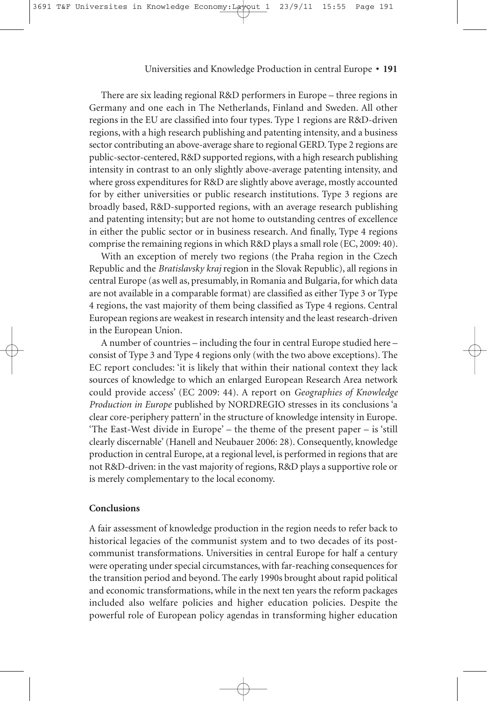There are six leading regional R&D performers in Europe – three regions in Germany and one each in The Netherlands, Finland and Sweden. All other regions in the EU are classified into four types. Type 1 regions are R&D-driven regions, with a high research publishing and patenting intensity, and a business sector contributing an above-average share to regional GERD. Type 2 regions are public-sector-centered, R&D supported regions,with a high research publishing intensity in contrast to an only slightly above-average patenting intensity, and where gross expenditures for R&D are slightly above average, mostly accounted for by either universities or public research institutions. Type 3 regions are broadly based, R&D-supported regions, with an average research publishing and patenting intensity; but are not home to outstanding centres of excellence in either the public sector or in business research. And finally, Type 4 regions comprise the remaining regions in which R&D plays a small role (EC, 2009: 40).

With an exception of merely two regions (the Praha region in the Czech Republic and the *Bratislavsky kraj* region in the Slovak Republic), all regions in central Europe (as well as, presumably, in Romania and Bulgaria, for which data are not available in a comparable format) are classified as either Type 3 or Type 4 regions, the vast majority of them being classified as Type 4 regions. Central European regions are weakest in research intensity and the least research-driven in the European Union.

A number of countries – including the four in central Europe studied here – consist of Type 3 and Type 4 regions only (with the two above exceptions). The EC report concludes: 'it is likely that within their national context they lack sources of knowledge to which an enlarged European Research Area network could provide access' (EC 2009: 44). A report on *Geographies of Knowledge Production in Europe* published by NORDREGIO stresses in its conclusions 'a clear core-periphery pattern' in the structure of knowledge intensity in Europe. 'The East-West divide in Europe' – the theme of the present paper – is 'still clearly discernable'(Hanell and Neubauer 2006: 28). Consequently, knowledge production in central Europe, at a regional level, is performed in regions that are not R&D-driven: in the vast majority of regions, R&D plays a supportive role or is merely complementary to the local economy.

## **Conclusions**

A fair assessment of knowledge production in the region needs to refer back to historical legacies of the communist system and to two decades of its postcommunist transformations. Universities in central Europe for half a century were operating under special circumstances, with far-reaching consequences for the transition period and beyond. The early 1990s brought about rapid political and economic transformations, while in the next ten years the reform packages included also welfare policies and higher education policies. Despite the powerful role of European policy agendas in transforming higher education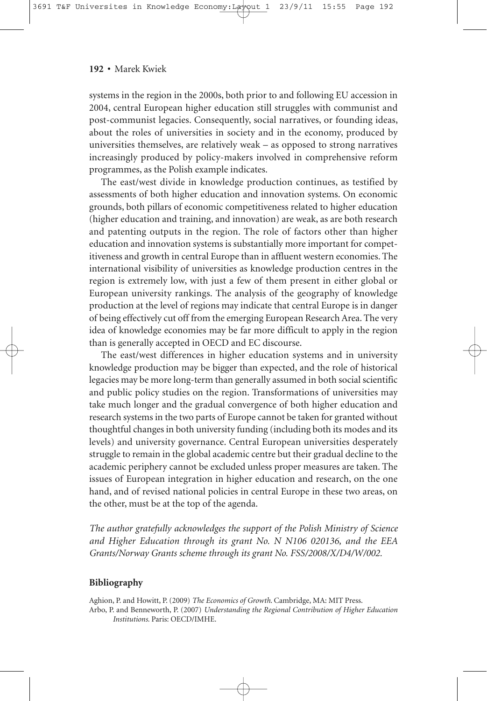systems in the region in the 2000s, both prior to and following EU accession in 2004, central European higher education still struggles with communist and post-communist legacies. Consequently, social narratives, or founding ideas, about the roles of universities in society and in the economy, produced by universities themselves, are relatively weak – as opposed to strong narratives increasingly produced by policy-makers involved in comprehensive reform programmes, as the Polish example indicates.

The east/west divide in knowledge production continues, as testified by assessments of both higher education and innovation systems. On economic grounds, both pillars of economic competitiveness related to higher education (higher education and training, and innovation) are weak, as are both research and patenting outputs in the region. The role of factors other than higher education and innovation systems is substantially more important for competitiveness and growth in central Europe than in affluent western economies. The international visibility of universities as knowledge production centres in the region is extremely low, with just a few of them present in either global or European university rankings. The analysis of the geography of knowledge production at the level of regions may indicate that central Europe is in danger of being effectively cut off from the emerging European Research Area. The very idea of knowledge economies may be far more difficult to apply in the region than is generally accepted in OECD and EC discourse.

The east/west differences in higher education systems and in university knowledge production may be bigger than expected, and the role of historical legacies may be more long-term than generally assumed in both social scientific and public policy studies on the region. Transformations of universities may take much longer and the gradual convergence of both higher education and research systems in the two parts of Europe cannot be taken for granted without thoughtful changes in both university funding (including both its modes and its levels) and university governance. Central European universities desperately struggle to remain in the global academic centre but their gradual decline to the academic periphery cannot be excluded unless proper measures are taken. The issues of European integration in higher education and research, on the one hand, and of revised national policies in central Europe in these two areas, on the other, must be at the top of the agenda.

*The author gratefully acknowledges the support of the Polish Ministry of Science and Higher Education through its grant No. N N106 020136, and the EEA Grants/Norway Grants scheme through its grant No. FSS/2008/X/D4/W/002.*

## **Bibliography**

Aghion, P. and Howitt, P. (2009) *The Economics of Growth*. Cambridge, MA: MIT Press. Arbo, P. and Benneworth, P. (2007) *Understanding the Regional Contribution of Higher Education Institutions.* Paris: OECD/IMHE.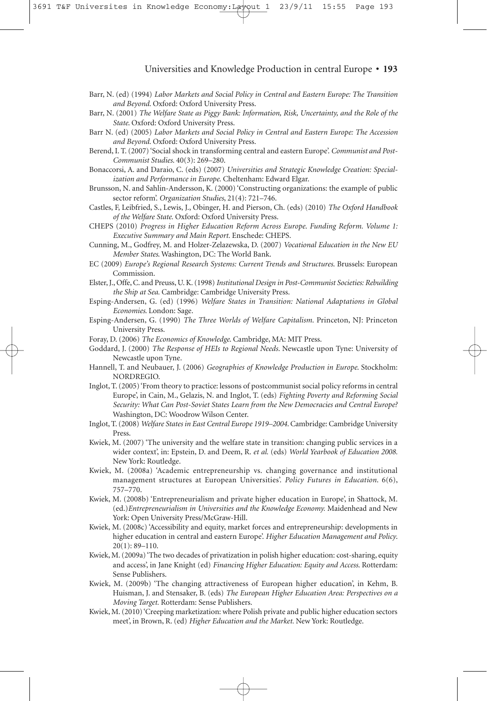- Barr, N. (ed) (1994) *Labor Markets and Social Policy in Central and Eastern Europe: The Transition and Beyond*. Oxford: Oxford University Press.
- Barr, N. (2001) *The Welfare State as Piggy Bank: Information, Risk, Uncertainty, and the Role of the State*. Oxford: Oxford University Press.
- Barr N. (ed) (2005) *Labor Markets and Social Policy in Central and Eastern Europe: The Accession and Beyond*. Oxford: Oxford University Press.
- Berend,I. T.(2007)'Social shock in transforming central and eastern Europe'. *Communist and Post-Communist Studies*. 40(3): 269–280.
- Bonaccorsi, A. and Daraio, C. (eds) (2007) *Universities and Strategic Knowledge Creation: Specialization and Performance in Europe.* Cheltenham: Edward Elgar.
- Brunsson, N. and Sahlin-Andersson, K. (2000)'Constructing organizations: the example of public sector reform'. *Organization Studies*, 21(4): 721–746.
- Castles, F, Leibfried, S., Lewis, J., Obinger, H. and Pierson, Ch. (eds) (2010) *The Oxford Handbook of the Welfare State.* Oxford: Oxford University Press.
- CHEPS (2010) *Progress in Higher Education Reform Across Europe*. *Funding Reform. Volume 1: Executive Summary and Main Report.* Enschede: CHEPS.
- Cunning, M., Godfrey, M. and Holzer-Zelazewska, D. (2007) *Vocational Education in the New EU Member States*. Washington, DC: The World Bank.
- EC (2009) *Europe's Regional Research Systems: Current Trends and Structures*. Brussels: European Commission.
- Elster,J., Offe,C. and Preuss, U.K.(1998)*Institutional Design in Post-Communist Societies: Rebuilding the Ship at Sea.* Cambridge: Cambridge University Press.
- Esping-Andersen, G. (ed) (1996) *Welfare States in Transition: National Adaptations in Global Economies*. London: Sage.
- Esping-Andersen, G. (1990) *The Three Worlds of Welfare Capitalism*. Princeton, NJ: Princeton University Press.
- Foray, D. (2006) *The Economics of Knowledge*. Cambridge, MA: MIT Press.
- Goddard, J. (2000) *The Response of HEIs to Regional Needs*. Newcastle upon Tyne: University of Newcastle upon Tyne.
- Hannell, T. and Neubauer, J. (2006) *Geographies of Knowledge Production in Europe*. Stockholm: NORDREGIO.
- Inglot, T.(2005)'From theory to practice: lessons of postcommunist social policy reforms in central Europe', in Cain, M., Gelazis, N. and Inglot, T. (eds) *Fighting Poverty and Reforming Social Security: What Can Post-Soviet States Learn from the New Democracies and Central Europe?* Washington, DC: Woodrow Wilson Center.
- Inglot, T.(2008) *Welfare States in East Central Europe 1919–2004*.Cambridge: Cambridge University **Press**
- Kwiek, M. (2007) 'The university and the welfare state in transition: changing public services in a wider context', in: Epstein, D. and Deem, R. *et al.* (eds) *World Yearbook of Education 2008.* New York: Routledge.
- Kwiek, M. (2008a) 'Academic entrepreneurship vs. changing governance and institutional management structures at European Universities'. *Policy Futures in Education*. 6(6), 757–770.
- Kwiek, M. (2008b) 'Entrepreneurialism and private higher education in Europe', in Shattock, M. (ed.)*Entrepreneurialism in Universities and the Knowledge Economy.* Maidenhead and New York: Open University Press/McGraw-Hill.
- Kwiek, M. (2008c) 'Accessibility and equity, market forces and entrepreneurship: developments in higher education in central and eastern Europe'. *Higher Education Management and Policy*. 20(1): 89–110.
- Kwiek, M.(2009a)'The two decades of privatization in polish higher education: cost-sharing, equity and access', in Jane Knight (ed) *Financing Higher Education: Equity and Access*. Rotterdam: Sense Publishers.
- Kwiek, M. (2009b) 'The changing attractiveness of European higher education', in Kehm, B. Huisman, J. and Stensaker, B. (eds) *The European Higher Education Area: Perspectives on a Moving Target.* Rotterdam: Sense Publishers.
- Kwiek, M.(2010)'Creeping marketization: where Polish private and public higher education sectors meet', in Brown, R. (ed) *Higher Education and the Market.* New York: Routledge.